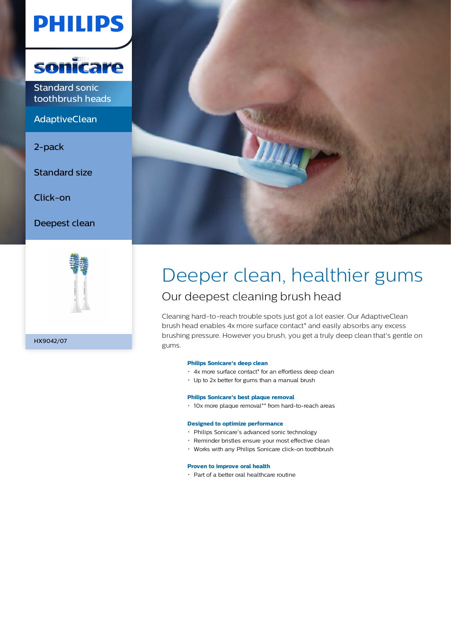# **PHILIPS**



Standard sonic toothbrush heads

AdaptiveClean

2-pack

Standard size

Click-on

Deepest clean



HX9042/07



### Deeper clean, healthier gums Our deepest cleaning brush head

Cleaning hard-to-reach trouble spots just got a lot easier. Our AdaptiveClean brush head enables 4x more surface contact\* and easily absorbs any excess brushing pressure. However you brush, you get a truly deep clean that's gentle on gums.

#### **Philips Sonicare's deep clean**

- 4x more surface contact\* for an effortless deep clean
- Up to 2x better for gums than a manual brush

#### **Philips Sonicare's best plaque removal**

10x more plaque removal\*\* from hard-to-reach areas

#### **Designed to optimize performance**

- Philips Sonicare's advanced sonic technology
- Reminder bristles ensure your most effective clean
- Works with any Philips Sonicare click-on toothbrush

#### **Proven to improve oral health**

Part of a better oral healthcare routine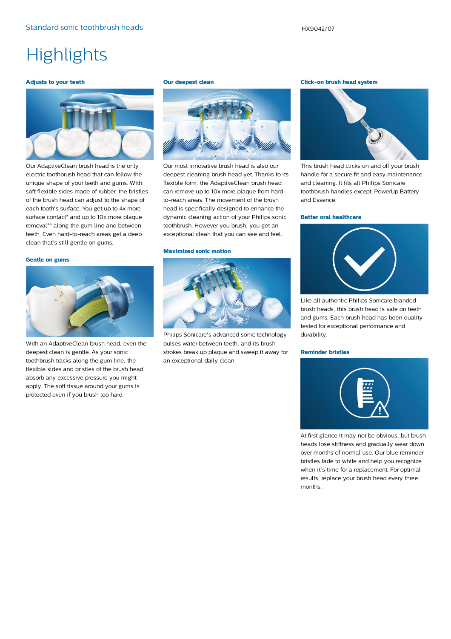## **Highlights**

#### **Adjusts to your teeth**



Our AdaptiveClean brush head is the only electric toothbrush head that can follow the unique shape of your teeth and gums. With soft flexible sides made of rubber, the bristles of the brush head can adjust to the shape of each tooth's surface. You get up to 4x more surface contact\* and up to 10x more plaque removal\*\* along the gum line and between teeth. Even hard-to-reach areas get a deep clean that's still gentle on gums.

#### **Gentle on gums**



With an AdaptiveClean brush head, even the deepest clean is gentle. As your sonic toothbrush tracks along the gum line, the flexible sides and bristles of the brush head absorb any excessive pressure you might apply. The soft tissue around your gums is protected even if you brush too hard.

#### **Our deepest clean**



Our most innovative brush head is also our deepest cleaning brush head yet. Thanks to its flexible form, the AdaptiveClean brush head can remove up to 10x more plaque from hardto-reach areas. The movement of the brush head is specifically designed to enhance the dynamic cleaning action of your Philips sonic toothbrush. However you brush, you get an exceptional clean that you can see and feel.

#### **Maximized sonic motion**



Philips Sonicare's advanced sonic technology pulses water between teeth, and its brush strokes break up plaque and sweep it away for an exceptional daily clean.

#### **Click-on brush head system**



This brush head clicks on and off your brush handle for a secure fit and easy maintenance and cleaning. It fits all Philips Sonicare toothbrush handles except: PowerUp Battery and Essence.

#### **Better oral healthcare**



Like all authentic Philips Sonicare branded brush heads, this brush head is safe on teeth and gums. Each brush head has been quality tested for exceptional performance and durability.

#### **Reminder bristles**



At first glance it may not be obvious, but brush heads lose stiffness and gradually wear down over months of normal use. Our blue reminder bristles fade to white and help you recognize when it's time for a replacement. For optimal results, replace your brush head every three months.